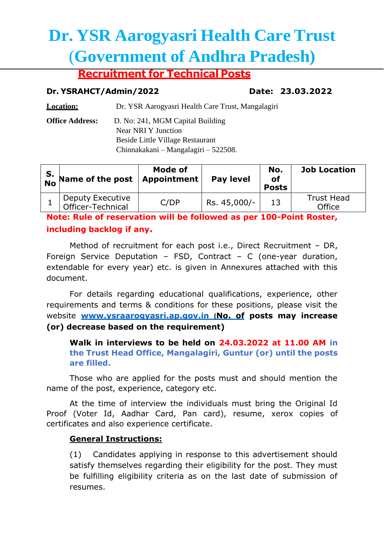# **Dr. YSR Aarogyasri Health Care Trust** (**Government of Andhra Pradesh)**

# **Recruitment for Technical Posts**

#### **Dr. YSRAHCT/Admin/2022 Date: 23.03.2022**

**Location:** Dr. YSR Aarogyasri Health Care Trust, Mangalagiri

**Office Address:** D. No: 241, MGM Capital Building Near NRI Y Junction Beside Little Village Restaurant Chinnakakani – Mangalagiri – 522508.

| S.<br>No Name of the post             | Mode of<br>Appointment | <b>Pay level</b> | No.<br>of<br><b>Posts</b> | <b>Job Location</b>         |
|---------------------------------------|------------------------|------------------|---------------------------|-----------------------------|
| Deputy Executive<br>Officer-Technical | C/DP                   | Rs. 45,000/-     | 13                        | <b>Trust Head</b><br>Office |

**Note: Rule of reservation will be followed as per 100-Point Roster, including backlog if any.**

Method of recruitment for each post i.e., Direct Recruitment – DR, Foreign Service Deputation – FSD, Contract – C (one-year duration, extendable for every year) etc. is given in Annexures attached with this document.

For details regarding educational qualifications, experience, other requirements and terms & conditions for these positions, please visit the website **www.ysraarogyasri.ap.gov.in (No. of posts may increase (or) decrease based on the requirement)**

#### **Walk in interviews to be held on 24.03.2022 at 11.00 AM in the Trust Head Office, Mangalagiri, Guntur (or) until the posts are filled.**

Those who are applied for the posts must and should mention the name of the post, experience, category etc.

At the time of interview the individuals must bring the Original Id Proof (Voter Id, Aadhar Card, Pan card), resume, xerox copies of certificates and also experience certificate.

### **General Instructions:**

(1) Candidates applying in response to this advertisement should satisfy themselves regarding their eligibility for the post. They must be fulfilling eligibility criteria as on the last date of submission of resumes.